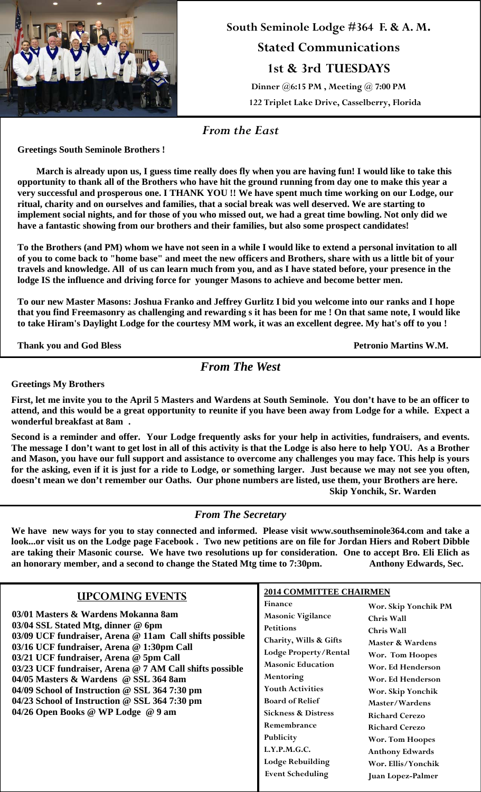

**South Seminole Lodge #364 F. & A. M. Stated Communications 1st & 3rd TUESDAYS Dinner @6:15 PM , Meeting @ 7:00 PM 122 Triplet Lake Drive, Casselberry, Florida**

*From the East* 

**Greetings South Seminole Brothers !** 

 **March is already upon us, I guess time really does fly when you are having fun! I would like to take this opportunity to thank all of the Brothers who have hit the ground running from day one to make this year a very successful and prosperous one. I THANK YOU !! We have spent much time working on our Lodge, our ritual, charity and on ourselves and families, that a social break was well deserved. We are starting to implement social nights, and for those of you who missed out, we had a great time bowling. Not only did we have a fantastic showing from our brothers and their families, but also some prospect candidates!** 

**To the Brothers (and PM) whom we have not seen in a while I would like to extend a personal invitation to all of you to come back to "home base" and meet the new officers and Brothers, share with us a little bit of your travels and knowledge. All of us can learn much from you, and as I have stated before, your presence in the lodge IS the influence and driving force for younger Masons to achieve and become better men.** 

**To our new Master Masons: Joshua Franko and Jeffrey Gurlitz I bid you welcome into our ranks and I hope that you find Freemasonry as challenging and rewarding s it has been for me ! On that same note, I would like to take Hiram's Daylight Lodge for the courtesy MM work, it was an excellent degree. My hat's off to you !** 

**Thank you and God Bless Petronio Martins W.M.**

*From The West* 

**Greetings My Brothers** 

**First, let me invite you to the April 5 Masters and Wardens at South Seminole. You don't have to be an officer to attend, and this would be a great opportunity to reunite if you have been away from Lodge for a while. Expect a wonderful breakfast at 8am .** 

**Second is a reminder and offer. Your Lodge frequently asks for your help in activities, fundraisers, and events. The message I don't want to get lost in all of this activity is that the Lodge is also here to help YOU. As a Brother and Mason, you have our full support and assistance to overcome any challenges you may face. This help is yours for the asking, even if it is just for a ride to Lodge, or something larger. Just because we may not see you often, doesn't mean we don't remember our Oaths. Our phone numbers are listed, use them, your Brothers are here. Skip Yonchik, Sr. Warden**

*From The Secretary* 

**We have new ways for you to stay connected and informed. Please visit www.southseminole364.com and take a look...or visit us on the Lodge page Facebook . Two new petitions are on file for Jordan Hiers and Robert Dibble are taking their Masonic course. We have two resolutions up for consideration. One to accept Bro. Eli Elich as an honorary member, and a second to change the Stated Mtg time to 7:30pm. Anthony Edwards, Sec.** 

|                                                                                                                                                                                                                                                                                                                                                                                                                                                                                                   | <b>2014 COMMITTEE CHAIRMEN</b>                                                                                                                                                                                                                           |                                                                                                                                                                                                          |
|---------------------------------------------------------------------------------------------------------------------------------------------------------------------------------------------------------------------------------------------------------------------------------------------------------------------------------------------------------------------------------------------------------------------------------------------------------------------------------------------------|----------------------------------------------------------------------------------------------------------------------------------------------------------------------------------------------------------------------------------------------------------|----------------------------------------------------------------------------------------------------------------------------------------------------------------------------------------------------------|
| <b>UPCOMING EVENTS</b><br>03/01 Masters & Wardens Mokanna 8am<br>03/04 SSL Stated Mtg, dinner @ 6pm<br>03/09 UCF fundraiser, Arena @ 11am Call shifts possible<br>03/16 UCF fundraiser, Arena @ 1:30pm Call<br>03/21 UCF fundraiser, Arena @ 5pm Call<br>03/23 UCF fundraiser, Arena @ 7 AM Call shifts possible<br>04/05 Masters & Wardens @ SSL 364 8am<br>04/09 School of Instruction @ SSL 364 7:30 pm<br>04/23 School of Instruction @ SSL 364 7:30 pm<br>04/26 Open Books @ WP Lodge @ 9 am | <b>Finance</b><br><b>Masonic Vigilance</b><br><b>Petitions</b><br>Charity, Wills & Gifts<br>Lodge Property/Rental<br><b>Masonic Education</b><br><b>Mentoring</b><br><b>Youth Activities</b><br><b>Board of Relief</b><br><b>Sickness &amp; Distress</b> | Wor. Skip Yonchik PM<br>Chris Wall<br><b>Chris Wall</b><br>Master & Wardens<br>Wor. Tom Hoopes<br>Wor. Ed Henderson<br>Wor. Ed Henderson<br>Wor. Skip Yonchik<br>Master/Wardens<br><b>Richard Cerezo</b> |
|                                                                                                                                                                                                                                                                                                                                                                                                                                                                                                   | Remembrance<br>Publicity<br>L.Y.P.M.G.C.<br><b>Lodge Rebuilding</b><br><b>Event Scheduling</b>                                                                                                                                                           | <b>Richard Cerezo</b><br><b>Wor. Tom Hoopes</b><br><b>Anthony Edwards</b><br>Wor. Ellis/Yonchik<br>Juan Lopez-Palmer                                                                                     |